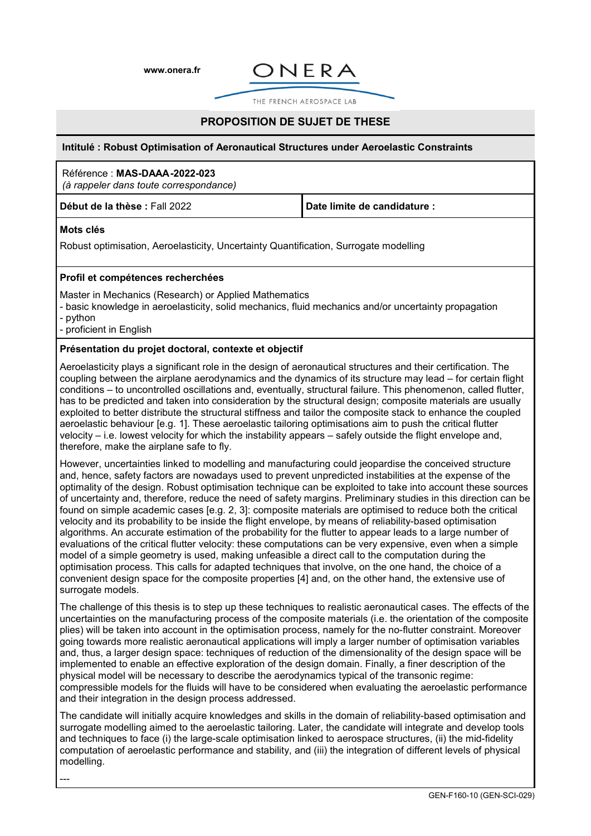**[www.onera.fr](http://www.onera.fr/)**



THE FRENCH AFROSPACE LAB

# **PROPOSITION DE SUJET DE THESE**

#### **Intitulé : Robust Optimisation of Aeronautical Structures under Aeroelastic Constraints**

#### Référence : **MAS-DAAA-2022-023**

*(à rappeler dans toute correspondance)*

**Début de la thèse :** Fall 2022 **Date limite de candidature :** 

## **Mots clés**

Robust optimisation, Aeroelasticity, Uncertainty Quantification, Surrogate modelling

## **Profil et compétences recherchées**

Master in Mechanics (Research) or Applied Mathematics

- basic knowledge in aeroelasticity, solid mechanics, fluid mechanics and/or uncertainty propagation

- python

- proficient in English

## **Présentation du projet doctoral, contexte et objectif**

Aeroelasticity plays a significant role in the design of aeronautical structures and their certification. The coupling between the airplane aerodynamics and the dynamics of its structure may lead – for certain flight conditions – to uncontrolled oscillations and, eventually, structural failure. This phenomenon, called flutter, has to be predicted and taken into consideration by the structural design; composite materials are usually exploited to better distribute the structural stiffness and tailor the composite stack to enhance the coupled aeroelastic behaviour [e.g. 1]. These aeroelastic tailoring optimisations aim to push the critical flutter velocity – i.e. lowest velocity for which the instability appears – safely outside the flight envelope and, therefore, make the airplane safe to fly.

However, uncertainties linked to modelling and manufacturing could jeopardise the conceived structure and, hence, safety factors are nowadays used to prevent unpredicted instabilities at the expense of the optimality of the design. Robust optimisation technique can be exploited to take into account these sources of uncertainty and, therefore, reduce the need of safety margins. Preliminary studies in this direction can be found on simple academic cases [e.g. 2, 3]: composite materials are optimised to reduce both the critical velocity and its probability to be inside the flight envelope, by means of reliability-based optimisation algorithms. An accurate estimation of the probability for the flutter to appear leads to a large number of evaluations of the critical flutter velocity: these computations can be very expensive, even when a simple model of a simple geometry is used, making unfeasible a direct call to the computation during the optimisation process. This calls for adapted techniques that involve, on the one hand, the choice of a convenient design space for the composite properties [4] and, on the other hand, the extensive use of surrogate models.

The challenge of this thesis is to step up these techniques to realistic aeronautical cases. The effects of the uncertainties on the manufacturing process of the composite materials (i.e. the orientation of the composite plies) will be taken into account in the optimisation process, namely for the no-flutter constraint. Moreover going towards more realistic aeronautical applications will imply a larger number of optimisation variables and, thus, a larger design space: techniques of reduction of the dimensionality of the design space will be implemented to enable an effective exploration of the design domain. Finally, a finer description of the physical model will be necessary to describe the aerodynamics typical of the transonic regime: compressible models for the fluids will have to be considered when evaluating the aeroelastic performance and their integration in the design process addressed.

The candidate will initially acquire knowledges and skills in the domain of reliability-based optimisation and surrogate modelling aimed to the aeroelastic tailoring. Later, the candidate will integrate and develop tools and techniques to face (i) the large-scale optimisation linked to aerospace structures, (ii) the mid-fidelity computation of aeroelastic performance and stability, and (iii) the integration of different levels of physical modelling.